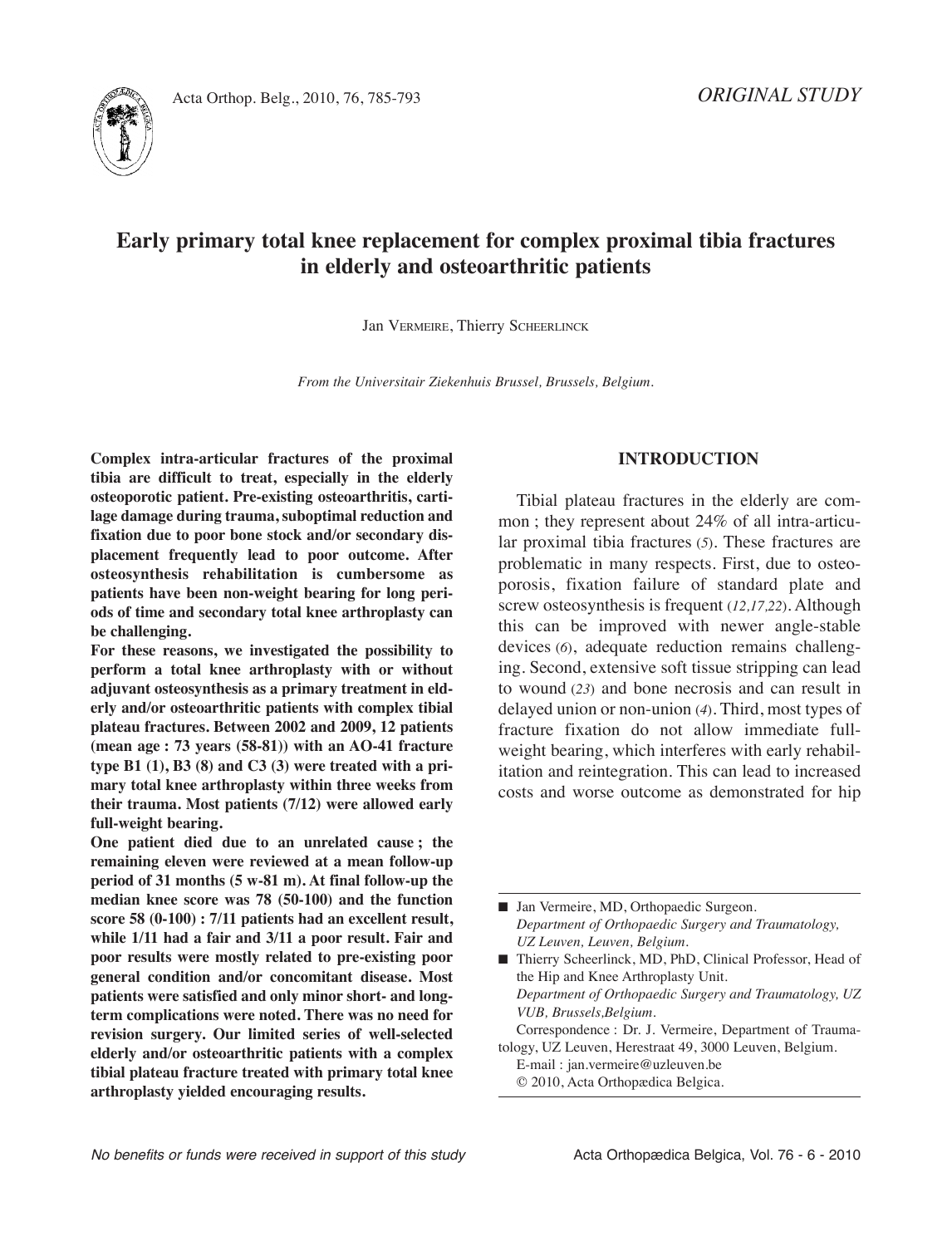

# **Early primary total knee replacement for complex proximal tibia fractures in elderly and osteoarthritic patients**

Jan VErMEirE, Thierry SCHEErLinCK

*From the Universitair Ziekenhuis Brussel, Brussels, Belgium.*

**complex intra-articular fractures of the proximal tibia are difficult to treat, especially in the elderly osteoporotic patient. Pre-existing osteoarthritis, cartilage damage during trauma, suboptimal reduction and fixation due to poor bone stock and/or secondary displacement frequently lead to poor outcome. After osteosynthesis rehabilitation is cumbersome as patients have been non-weight bearing for long periods of time and secondary total knee arthroplasty can be challenging.**

**For these reasons, we investigated the possibility to perform a total knee arthroplasty with or without adjuvant osteosynthesis as a primary treatment in elderly and/or osteoarthritic patients with complex tibial plateau fractures. Between 2002 and 2009, 12 patients (mean age : 73 years (58-81)) with an Ao-41 fracture type B1 (1), B3 (8) and c3 (3) were treated with a primary total knee arthroplasty within three weeks from their trauma. Most patients (7/12) were allowed early full-weight bearing.**

**one patient died due to an unrelated cause ; the remaining eleven were reviewed at a mean follow-up period of 31 months (5 w-81 m). At final follow-up the median knee score was 78 (50-100) and the function score 58 (0-100) : 7/11 patients had an excellent result, while 1/11 had a fair and 3/11 a poor result. Fair and poor results were mostly related to pre-existing poor general condition and/or concomitant disease. Most patients were satisfied and only minor short- and longterm complications were noted. there was no need for revision surgery. our limited series of well-selected elderly and/or osteoarthritic patients with a complex tibial plateau fracture treated with primary total knee arthroplasty yielded encouraging results.**

# **IntroductIon**

Tibial plateau fractures in the elderly are common ; they represent about 24% of all intra-articular proximal tibia fractures (*5*)*.* These fractures are problematic in many respects. First, due to osteoporosis, fixation failure of standard plate and screw osteosynthesis is frequent (*12,17,22*). Although this can be improved with newer angle-stable devices (*6*), adequate reduction remains challenging. Second, extensive soft tissue stripping can lead to wound (*23*) and bone necrosis and can result in delayed union or non-union (*4*). Third, most types of fracture fixation do not allow immediate fullweight bearing, which interferes with early rehabilitation and reintegration. This can lead to increased costs and worse outcome as demonstrated for hip

■ Jan Vermeire, MD, Orthopaedic Surgeon. *Department of Orthopaedic Surgery and Traumatology, UZ Leuven, Leuven, Belgium.*

■ Thierry Scheerlinck, MD, PhD, Clinical Professor, Head of the Hip and Knee Arthroplasty Unit. *Department of Orthopaedic Surgery and Traumatology, UZ VUB, Brussels,Belgium.* Correspondence : Dr. J. Vermeire, Department of Trauma-

tology, UZ Leuven, Herestraat 49, 3000 Leuven, Belgium. E-mail : jan.vermeire@uzleuven.be

© 2010, Acta Orthopædica Belgica.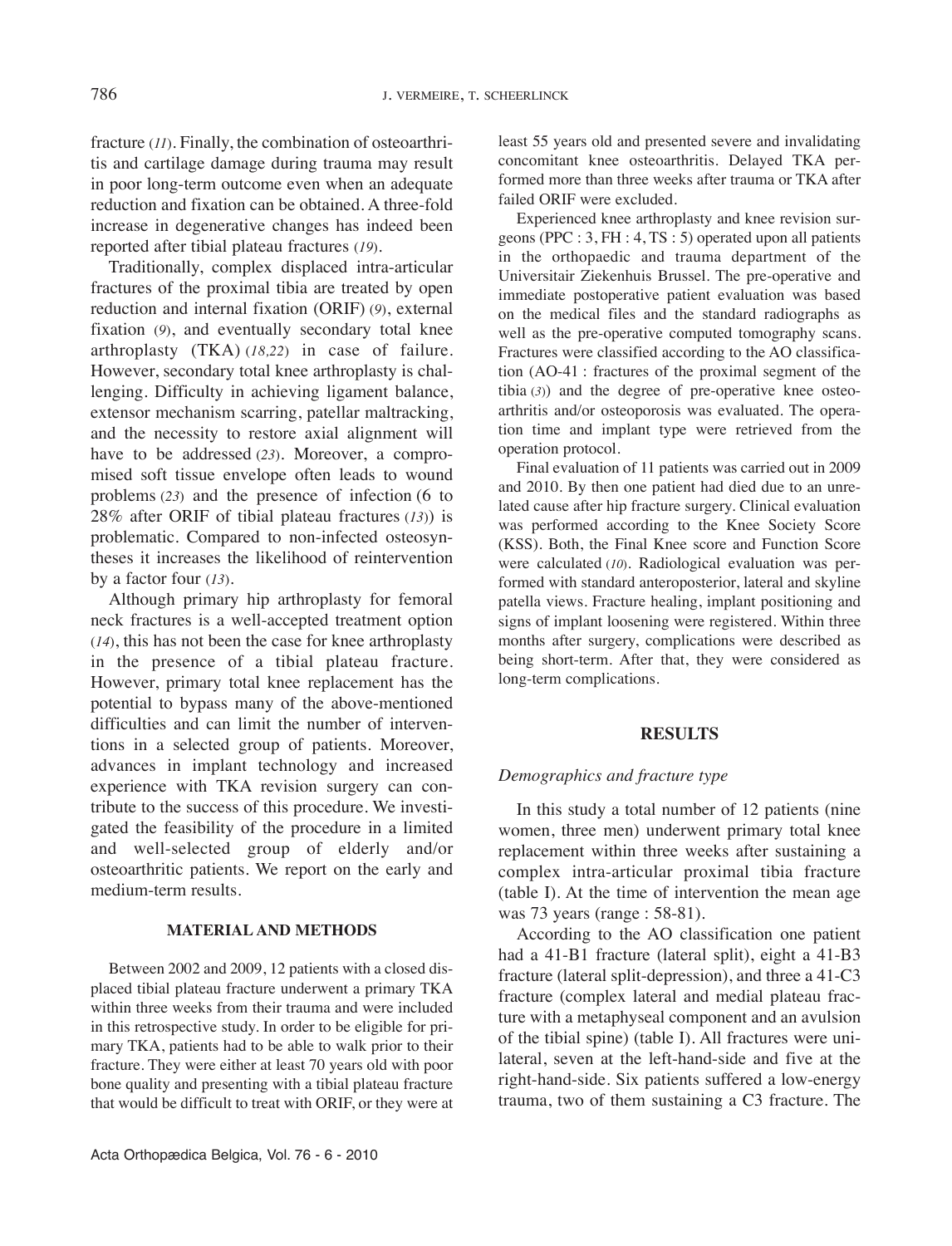fracture (*11*). Finally, the combination of osteoarthritis and cartilage damage during trauma may result in poor long-term outcome even when an adequate reduction and fixation can be obtained. A three-fold increase in degenerative changes has indeed been reported after tibial plateau fractures (*19*).

Traditionally, complex displaced intra-articular fractures of the proximal tibia are treated by open reduction and internal fixation (ORIF) (9), external fixation (*9*), and eventually secondary total knee arthroplasty (TKA) (*18,22*) in case of failure. However, secondary total knee arthroplasty is challenging. Difficulty in achieving ligament balance, extensor mechanism scarring, patellar maltracking, and the necessity to restore axial alignment will have to be addressed (*23*). Moreover, a compromised soft tissue envelope often leads to wound problems (*23*) and the presence of infection (6 to  $28\%$  after ORIF of tibial plateau fractures (13)) is problematic. Compared to non-infected osteosyntheses it increases the likelihood of reintervention by a factor four (*13*).

Although primary hip arthroplasty for femoral neck fractures is a well-accepted treatment option (*14*), this has not been the case for knee arthroplasty in the presence of a tibial plateau fracture. However, primary total knee replacement has the potential to bypass many of the above-mentioned difficulties and can limit the number of interventions in a selected group of patients. Moreover, advances in implant technology and increased experience with TKA revision surgery can contribute to the success of this procedure. We investigated the feasibility of the procedure in a limited and well-selected group of elderly and/or osteoarthritic patients. We report on the early and medium-term results.

## **MAtErIAl And MEthods**

Between 2002 and 2009, 12 patients with a closed displaced tibial plateau fracture underwent a primary TKA within three weeks from their trauma and were included in this retrospective study. in order to be eligible for primary TKA, patients had to be able to walk prior to their fracture. They were either at least 70 years old with poor bone quality and presenting with a tibial plateau fracture that would be difficult to treat with ORIF, or they were at least 55 years old and presented severe and invalidating concomitant knee osteoarthritis. Delayed TKA performed more than three weeks after trauma or TKA after failed ORIF were excluded.

Experienced knee arthroplasty and knee revision surgeons (PPC : 3, FH : 4, TS : 5) operated upon all patients in the orthopaedic and trauma department of the Universitair Ziekenhuis Brussel. The pre-operative and immediate postoperative patient evaluation was based on the medical files and the standard radiographs as well as the pre-operative computed tomography scans. Fractures were classified according to the AO classification (AO-41 : fractures of the proximal segment of the tibia (*3*)) and the degree of pre-operative knee osteoarthritis and/or osteoporosis was evaluated. The operation time and implant type were retrieved from the operation protocol.

Final evaluation of 11 patients was carried out in 2009 and 2010. By then one patient had died due to an unrelated cause after hip fracture surgery. Clinical evaluation was performed according to the Knee Society Score (KSS). Both, the Final Knee score and Function Score were calculated (10). Radiological evaluation was performed with standard anteroposterior, lateral and skyline patella views. Fracture healing, implant positioning and signs of implant loosening were registered. Within three months after surgery, complications were described as being short-term. After that, they were considered as long-term complications.

## **rEsults**

## *Demographics and fracture type*

In this study a total number of 12 patients (nine women, three men) underwent primary total knee replacement within three weeks after sustaining a complex intra-articular proximal tibia fracture  $(table I)$ . At the time of intervention the mean age was 73 years (range : 58-81).

According to the AO classification one patient had a 41-B1 fracture (lateral split), eight a 41-B3 fracture (lateral split-depression), and three a 41-C3 fracture (complex lateral and medial plateau fracture with a metaphyseal component and an avulsion of the tibial spine) (table I). All fractures were unilateral, seven at the left-hand-side and five at the right-hand-side. Six patients suffered a low-energy trauma, two of them sustaining a C3 fracture. The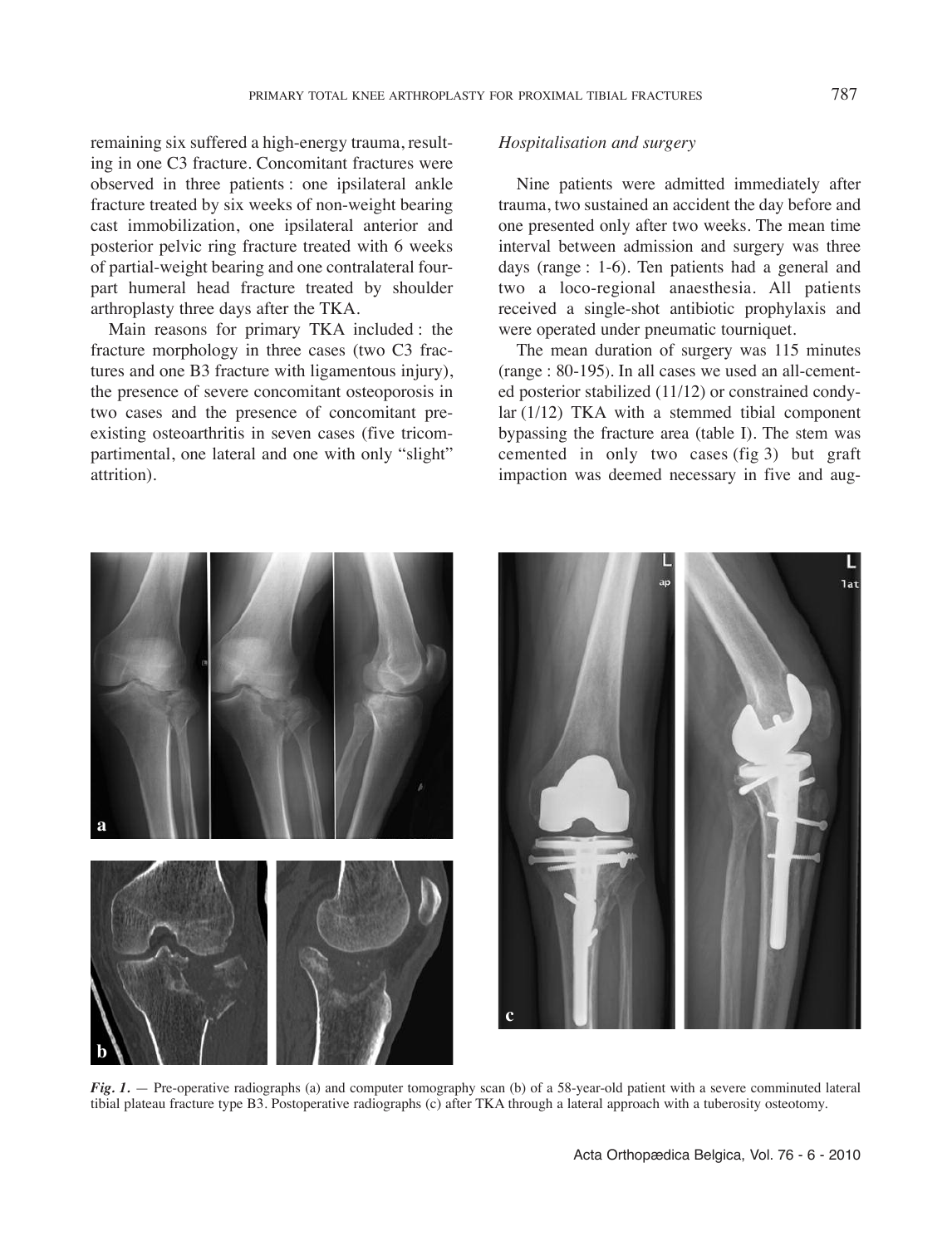remaining six suffered a high-energy trauma, resulting in one C3 fracture. Concomitant fractures were observed in three patients : one ipsilateral ankle fracture treated by six weeks of non-weight bearing cast immobilization, one ipsilateral anterior and posterior pelvic ring fracture treated with 6 weeks of partial-weight bearing and one contralateral fourpart humeral head fracture treated by shoulder arthroplasty three days after the TKA.

Main reasons for primary TKA included : the fracture morphology in three cases (two C3 fractures and one B3 fracture with ligamentous injury), the presence of severe concomitant osteoporosis in two cases and the presence of concomitant preexisting osteoarthritis in seven cases (five tricompartimental, one lateral and one with only "slight" attrition).

## *Hospitalisation and surgery*

Nine patients were admitted immediately after trauma, two sustained an accident the day before and one presented only after two weeks. The mean time interval between admission and surgery was three days (range : 1-6). Ten patients had a general and two a loco-regional anaesthesia. All patients received a single-shot antibiotic prophylaxis and were operated under pneumatic tourniquet.

The mean duration of surgery was 115 minutes (range : 80-195). in all cases we used an all-cemented posterior stabilized (11/12) or constrained condylar (1/12) TKA with a stemmed tibial component bypassing the fracture area (table  $I$ ). The stem was cemented in only two cases (fig 3) but graft impaction was deemed necessary in five and aug-



*Fig. 1.* — Pre-operative radiographs (a) and computer tomography scan (b) of a 58-year-old patient with a severe comminuted lateral tibial plateau fracture type B3. Postoperative radiographs (c) after TKA through a lateral approach with a tuberosity osteotomy.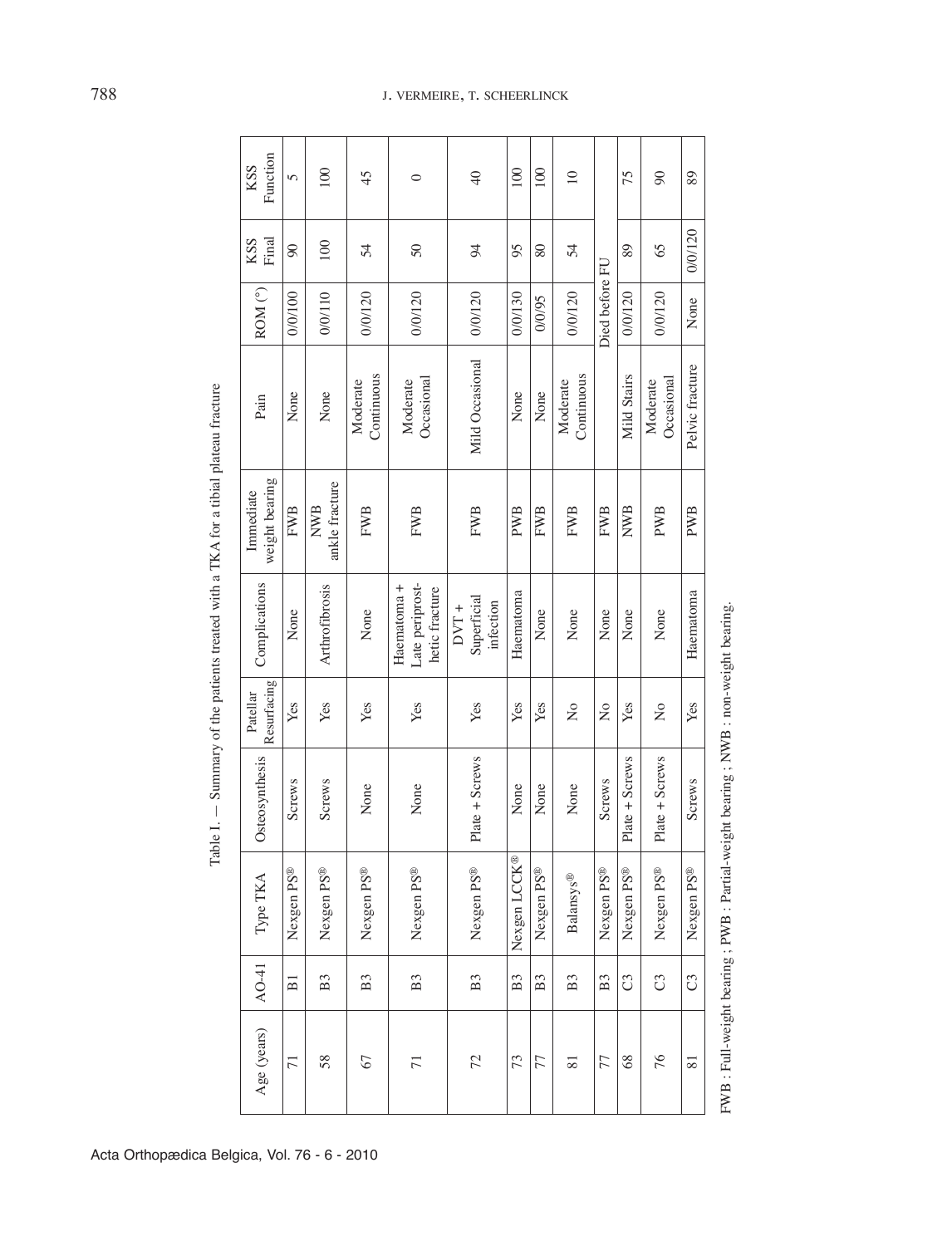| Function<br>KSS             | 5              | 100                          | 45                     | $\circ$                                          | $\overline{a}$                      | 100            | 100            | $\supseteq$            |                | 75             | $\infty$                  | 89              |
|-----------------------------|----------------|------------------------------|------------------------|--------------------------------------------------|-------------------------------------|----------------|----------------|------------------------|----------------|----------------|---------------------------|-----------------|
| Final<br><b>KSS</b>         | $\infty$       | 100                          | 54                     | $50\,$                                           | 94                                  | 95             | 80             | 54                     | Died before FU | 89             | 65                        | 0/0/120         |
| ROM <sup>(°)</sup>          | 0/0/100        | 0/0/110                      | 0/0/120                | 0/0/120                                          | 0/0/120                             | 0/0/130        | 0/0/95         | 0/0/120                |                | 0/0/120        | 0/0/120                   | None            |
| Pain                        | None           | None                         | Continuous<br>Moderate | Occasional<br>Moderate                           | Mild Occasional                     | None           | None           | Continuous<br>Moderate |                | Mild Stairs    | Occasional<br>Moderate    | Pelvic fracture |
| weight bearing<br>Immediate | <b>FWB</b>     | ankle fracture<br><b>NWB</b> | <b>FWB</b>             | <b>FWB</b>                                       | <b>FWB</b>                          | <b>PWB</b>     | <b>FWB</b>     | <b>FWB</b>             | <b>FWB</b>     | NWB            | <b>PWB</b>                | <b>PWB</b>      |
| Complications               | None           | Arthrofibrosis               | None                   | Late periprost-<br>Haematoma +<br>hetic fracture | Superficial<br>infection<br>$DVT +$ | Haematoma      | None           | None                   | None           | None           | None                      | Haematoma       |
| Resurfacing<br>Patellar     | Yes            | Yes                          | Yes                    | Yes                                              | Yes                                 | Yes            | Yes            | $\frac{1}{2}$          | $\frac{1}{2}$  | Yes            | $\mathsf{S}^{\mathsf{O}}$ | Yes             |
| Osteosynthesis              | <b>Screws</b>  | <b>Screws</b>                | None                   | None                                             | Plate + Screws                      | None           | None           | None                   | Screws         | Plate + Screws | Plate + Screws            | <b>Screws</b>   |
| Type TKA                    | Nexgen PS®     | Nexgen PS®                   | Nexgen PS®             | Nexgen PS®                                       | Nexgen PS®                          | Nexgen LCCK®   | Nexgen PS®     | Balansys®              | Nexgen PS®     | Nexgen PS®     | Nexgen PS®                | Nexgen PS®      |
| AO-41                       | $\overline{B}$ | B <sub>3</sub>               | B <sub>3</sub>         | B <sub>3</sub>                                   | B <sub>3</sub>                      | B <sub>3</sub> | B <sub>3</sub> | B <sub>3</sub>         | B <sub>3</sub> | U              | U                         | U               |
| Age (years)                 | $\overline{7}$ | 58                           | 67                     | $\overline{7}$                                   | 72                                  | 73             | 77             | $\overline{81}$        | 77             | 68             | 76                        | $\overline{81}$ |

F W  $\approx$ 

: Full-weight bearing ; P

W  $\approx$ 

B: Partial-weight bearing; N

W  $\approx$ 

: non-weight bearing.

Table i. — Sum mary of the patients treated with a T K AA for a tibial plateau fracture

Acta Orthopædica Belgica, Vol. 76 - 6 - 2010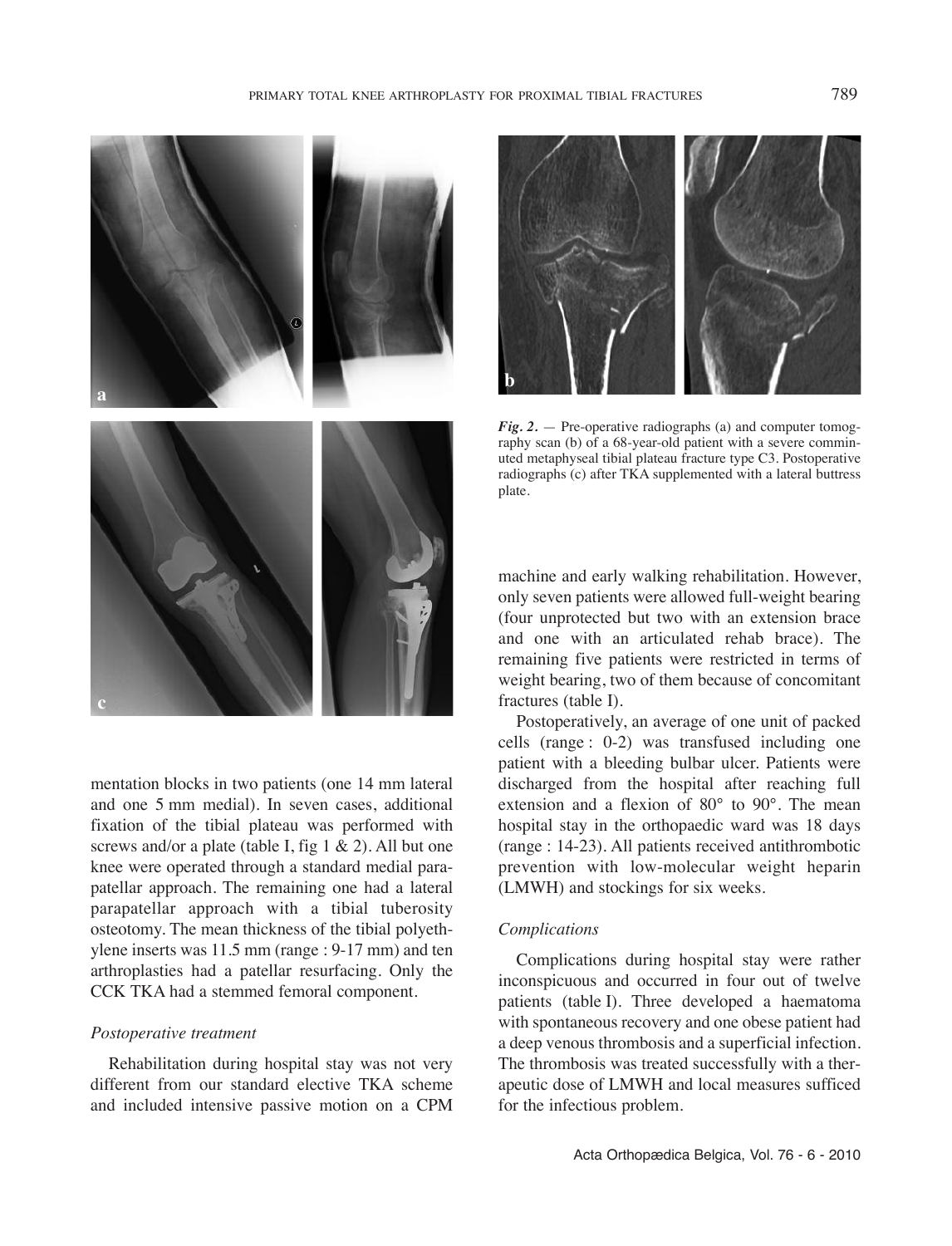

mentation blocks in two patients (one 14 mm lateral and one 5 mm medial). In seven cases, additional fixation of the tibial plateau was performed with screws and/or a plate (table I, fig 1  $\&$  2). All but one knee were operated through a standard medial parapatellar approach. The remaining one had a lateral parapatellar approach with a tibial tuberosity osteotomy. The mean thickness of the tibial polyethylene inserts was 11.5 mm (range : 9-17 mm) and ten arthroplasties had a patellar resurfacing. Only the CCK TKA had a stemmed femoral component.

#### *Postoperative treatment*

Rehabilitation during hospital stay was not very different from our standard elective TKA scheme and included intensive passive motion on a CPM



*Fig. 2.* — Pre-operative radiographs (a) and computer tomography scan (b) of a 68-year-old patient with a severe comminuted metaphyseal tibial plateau fracture type C3. Postoperative radiographs (c) after TKA supplemented with a lateral buttress plate.

machine and early walking rehabilitation. However, only seven patients were allowed full-weight bearing (four unprotected but two with an extension brace and one with an articulated rehab brace). The remaining five patients were restricted in terms of weight bearing, two of them because of concomitant fractures (table I).

Postoperatively, an average of one unit of packed cells (range : 0-2) was transfused including one patient with a bleeding bulbar ulcer. Patients were discharged from the hospital after reaching full extension and a flexion of 80° to 90°. The mean hospital stay in the orthopaedic ward was 18 days (range : 14-23). All patients received antithrombotic prevention with low-molecular weight heparin (LMWH) and stockings for six weeks.

## *Complications*

Complications during hospital stay were rather inconspicuous and occurred in four out of twelve patients (table I). Three developed a haematoma with spontaneous recovery and one obese patient had a deep venous thrombosis and a superficial infection. The thrombosis was treated successfully with a therapeutic dose of LMWH and local measures sufficed for the infectious problem.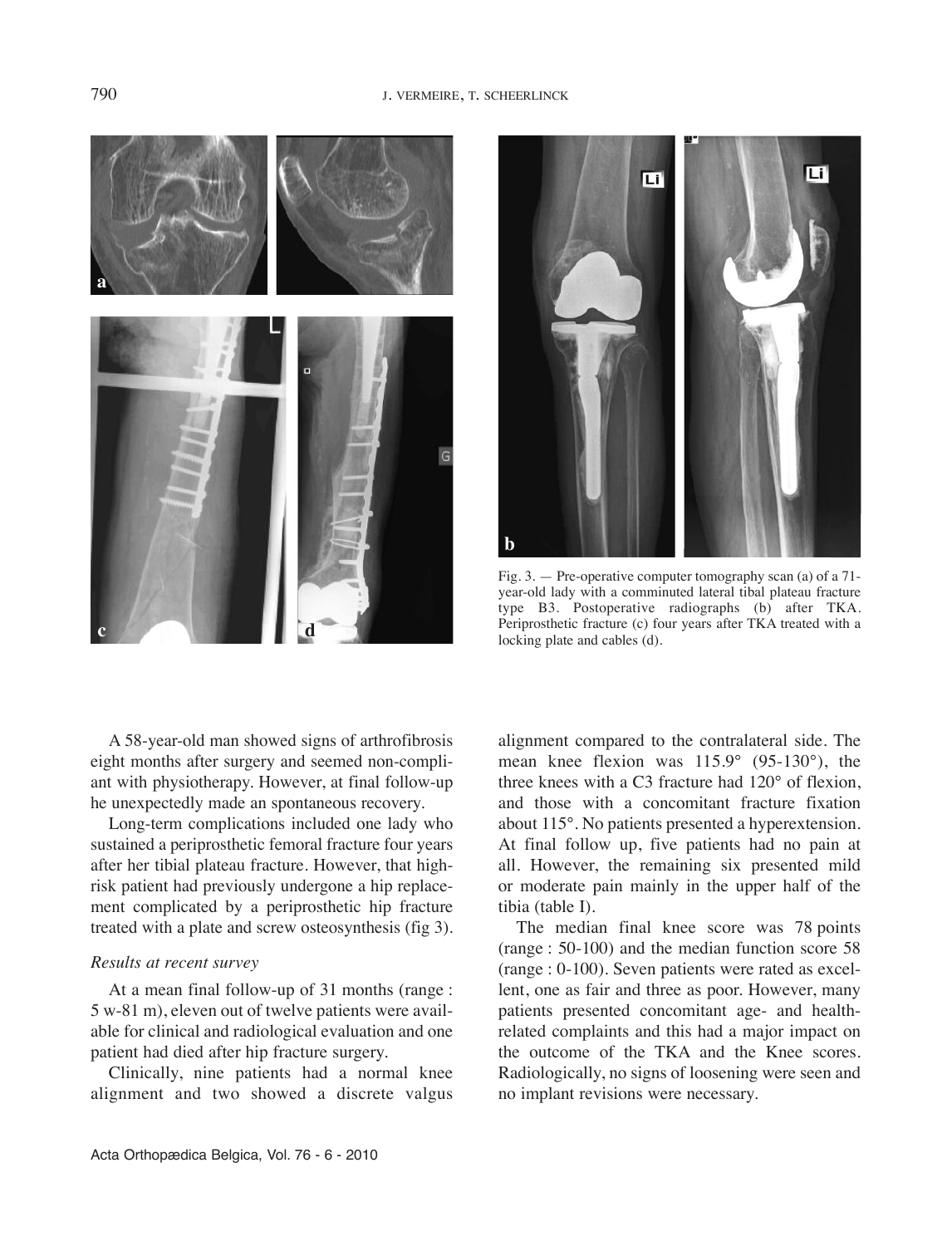# 790 J. VErMEirE, T. SCHEErLinCK



Li Γū **b**

Fig. 3. — Pre-operative computer tomography scan (a) of a 71 year-old lady with a comminuted lateral tibal plateau fracture type B3. Postoperative radiographs (b) after TKA. Periprosthetic fracture (c) four years after TKA treated with a locking plate and cables (d).

A 58-year-old man showed signs of arthrofibrosis eight months after surgery and seemed non-compliant with physiotherapy. However, at final follow-up he unexpectedly made an spontaneous recovery.

Long-term complications included one lady who sustained a periprosthetic femoral fracture four years after her tibial plateau fracture. However, that highrisk patient had previously undergone a hip replacement complicated by a periprosthetic hip fracture treated with a plate and screw osteosynthesis (fig 3).

#### *Results at recent survey*

At a mean final follow-up of 31 months (range : 5 w-81 m), eleven out of twelve patients were available for clinical and radiological evaluation and one patient had died after hip fracture surgery.

Clinically, nine patients had a normal knee alignment and two showed a discrete valgus alignment compared to the contralateral side. The mean knee flexion was 115.9° (95-130°), the three knees with a C3 fracture had 120° of flexion, and those with a concomitant fracture fixation about 115°. No patients presented a hyperextension. At final follow up, five patients had no pain at all. However, the remaining six presented mild or moderate pain mainly in the upper half of the  $tibia$  (table  $I$ ).

The median final knee score was 78 points (range : 50-100) and the median function score 58 (range : 0-100). Seven patients were rated as excellent, one as fair and three as poor. However, many patients presented concomitant age- and healthrelated complaints and this had a major impact on the outcome of the TKA and the Knee scores. Radiologically, no signs of loosening were seen and no implant revisions were necessary.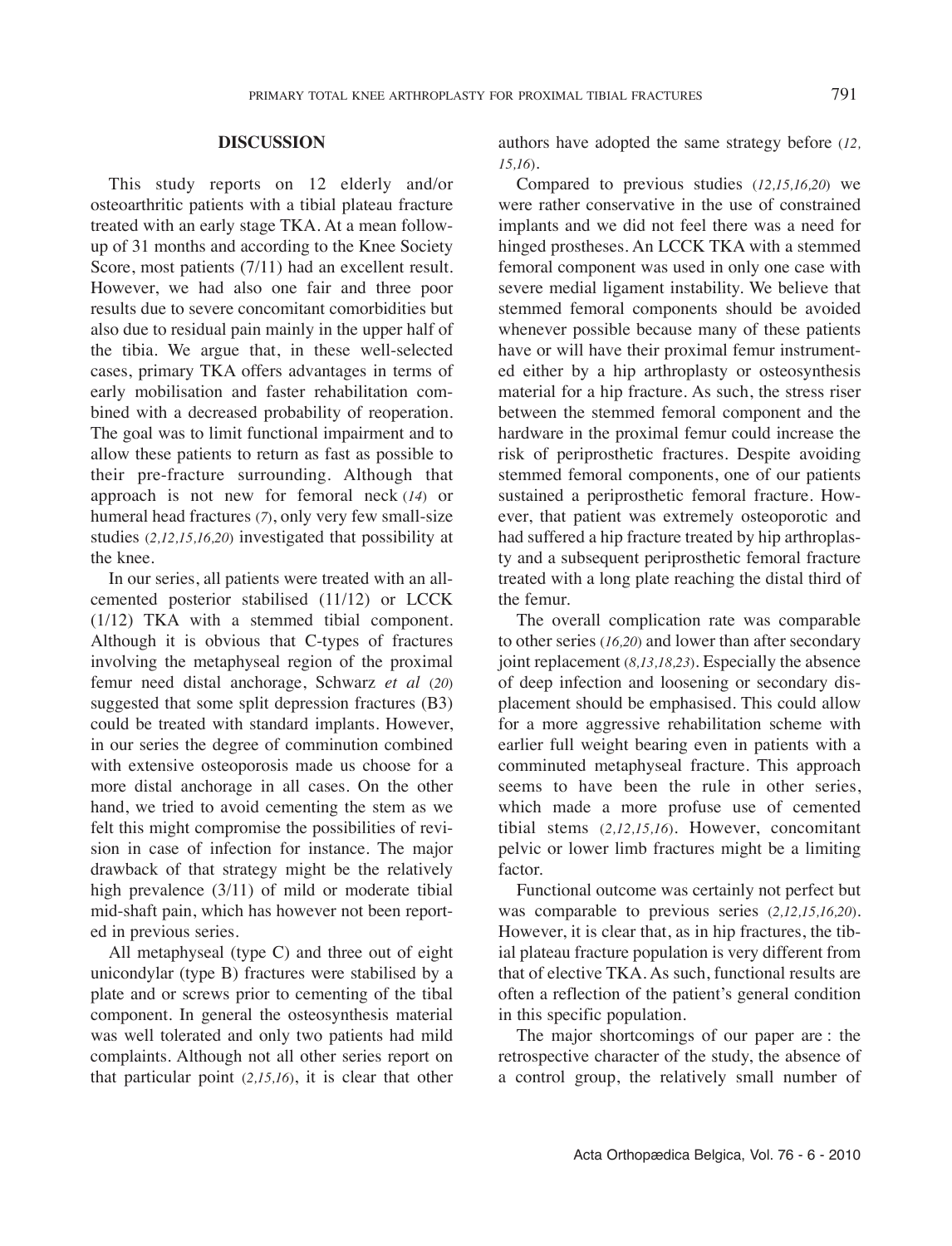# **dIscussIon**

This study reports on 12 elderly and/or osteoarthritic patients with a tibial plateau fracture treated with an early stage TKA. At a mean followup of 31 months and according to the Knee Society Score, most patients (7/11) had an excellent result. However, we had also one fair and three poor results due to severe concomitant comorbidities but also due to residual pain mainly in the upper half of the tibia. We argue that, in these well-selected cases, primary TKA offers advantages in terms of early mobilisation and faster rehabilitation combined with a decreased probability of reoperation. The goal was to limit functional impairment and to allow these patients to return as fast as possible to their pre-fracture surrounding. Although that approach is not new for femoral neck (*14*) or humeral head fractures (*7*), only very few small-size studies (*2,12,15,16,20*) investigated that possibility at the knee.

In our series, all patients were treated with an allcemented posterior stabilised (11/12) or LCCK (1/12) TKA with a stemmed tibial component. Although it is obvious that C-types of fractures involving the metaphyseal region of the proximal femur need distal anchorage, Schwarz *et al* (*20*) suggested that some split depression fractures (B3) could be treated with standard implants. However, in our series the degree of comminution combined with extensive osteoporosis made us choose for a more distal anchorage in all cases. On the other hand, we tried to avoid cementing the stem as we felt this might compromise the possibilities of revision in case of infection for instance. The major drawback of that strategy might be the relatively high prevalence (3/11) of mild or moderate tibial mid-shaft pain, which has however not been reported in previous series.

All metaphyseal (type C) and three out of eight unicondylar (type B) fractures were stabilised by a plate and or screws prior to cementing of the tibal component. In general the osteosynthesis material was well tolerated and only two patients had mild complaints. Although not all other series report on that particular point (*2,15,16*), it is clear that other authors have adopted the same strategy before (*12, 15,16*).

Compared to previous studies (*12,15,16,20*) we were rather conservative in the use of constrained implants and we did not feel there was a need for hinged prostheses. An LCCK TKA with a stemmed femoral component was used in only one case with severe medial ligament instability. We believe that stemmed femoral components should be avoided whenever possible because many of these patients have or will have their proximal femur instrumented either by a hip arthroplasty or osteosynthesis material for a hip fracture. As such, the stress riser between the stemmed femoral component and the hardware in the proximal femur could increase the risk of periprosthetic fractures. Despite avoiding stemmed femoral components, one of our patients sustained a periprosthetic femoral fracture. However, that patient was extremely osteoporotic and had suffered a hip fracture treated by hip arthroplasty and a subsequent periprosthetic femoral fracture treated with a long plate reaching the distal third of the femur.

The overall complication rate was comparable to other series (*16,20*) and lower than after secondary joint replacement (*8,13,18,23*). Especially the absence of deep infection and loosening or secondary displacement should be emphasised. This could allow for a more aggressive rehabilitation scheme with earlier full weight bearing even in patients with a comminuted metaphyseal fracture. This approach seems to have been the rule in other series, which made a more profuse use of cemented tibial stems (*2,12,15,16*). However, concomitant pelvic or lower limb fractures might be a limiting factor.

Functional outcome was certainly not perfect but was comparable to previous series (*2,12,15,16,20*). However, it is clear that, as in hip fractures, the tibial plateau fracture population is very different from that of elective TKA. As such, functional results are often a reflection of the patient's general condition in this specific population.

The major shortcomings of our paper are : the retrospective character of the study, the absence of a control group, the relatively small number of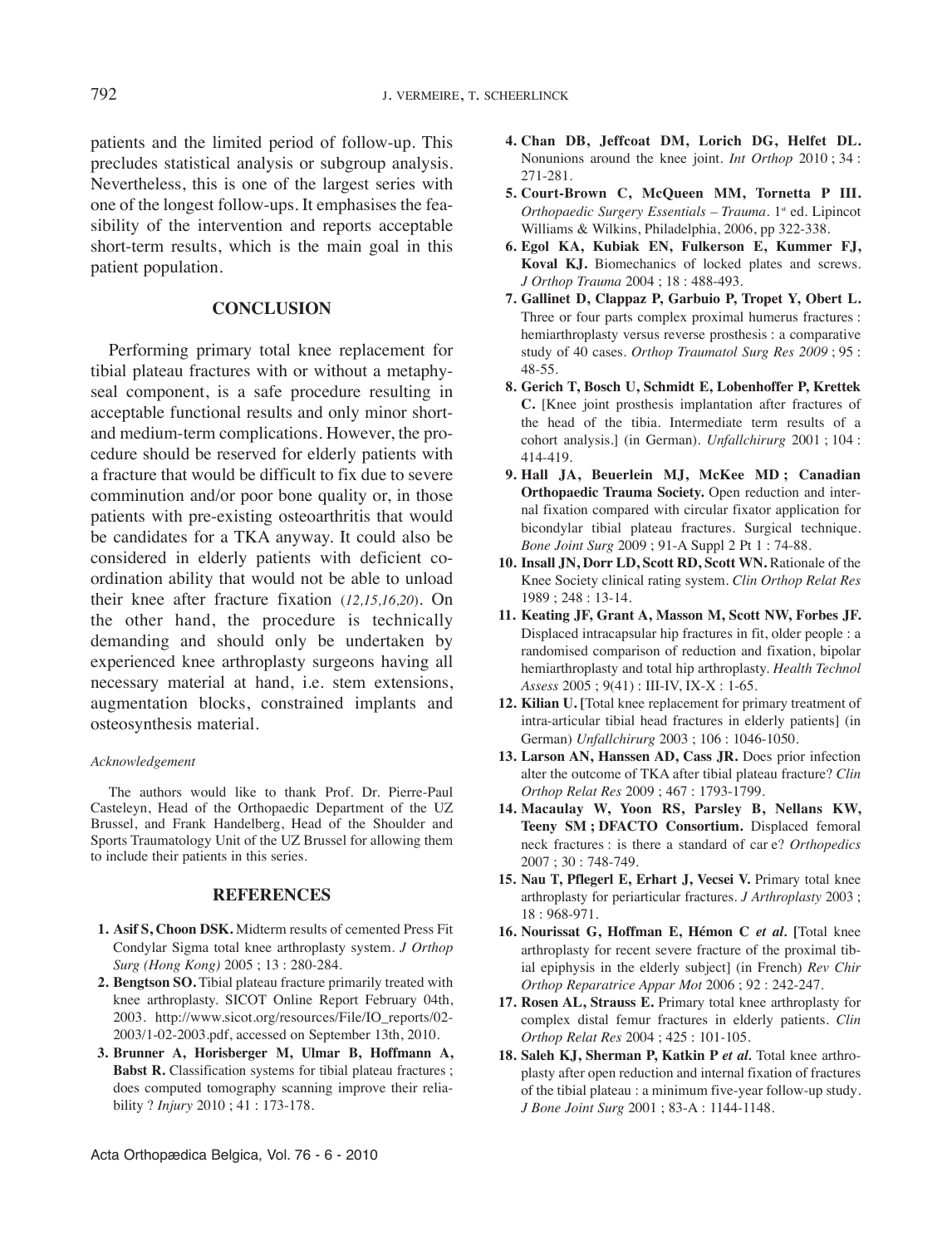patients and the limited period of follow-up. This precludes statistical analysis or subgroup analysis. Nevertheless, this is one of the largest series with one of the longest follow-ups. it emphasises the feasibility of the intervention and reports acceptable short-term results, which is the main goal in this patient population.

# **conclusIon**

Performing primary total knee replacement for tibial plateau fractures with or without a metaphyseal component, is a safe procedure resulting in acceptable functional results and only minor shortand medium-term complications. However, the procedure should be reserved for elderly patients with a fracture that would be difficult to fix due to severe comminution and/or poor bone quality or, in those patients with pre-existing osteoarthritis that would be candidates for a TKA anyway. It could also be considered in elderly patients with deficient coordination ability that would not be able to unload their knee after fracture fixation (*12,15,16,20*). On the other hand, the procedure is technically demanding and should only be undertaken by experienced knee arthroplasty surgeons having all necessary material at hand, i.e. stem extensions, augmentation blocks, constrained implants and osteosynthesis material.

#### *Acknowledgement*

The authors would like to thank Prof. Dr. Pierre-Paul Casteleyn, Head of the Orthopaedic Department of the UZ Brussel, and Frank Handelberg, Head of the Shoulder and Sports Traumatology Unit of the UZ Brussel for allowing them to include their patients in this series.

#### **rEFErEncEs**

- **1. Asif s, choon dsK.** Midterm results of cemented Press Fit Condylar Sigma total knee arthroplasty system*. J Orthop Surg (Hong Kong)* 2005 ; 13 : 280-284.
- **2. Bengtson so.** Tibial plateau fracture primarily treated with knee arthroplasty. SICOT Online Report February 04th, 2003. http://www.sicot.org/resources/File/iO\_reports/02- 2003/1-02-2003.pdf, accessed on September 13th, 2010.
- **3. Brunner A, horisberger M, ulmar B, hoffmann A, Babst r.** Classification systems for tibial plateau fractures ; does computed tomography scanning improve their reliability ? *Injury* 2010 ; 41 : 173-178.
- **4. chan dB, Jeffcoat dM, lorich dG, helfet dl.** Nonunions around the knee joint. *Int Orthop* 2010 : 34 : 271-281.
- **5. court-Brown c, McQueen MM, tornetta P III.** *Orthopaedic Surgery Essentials* – *Trauma*. 1<sup>st</sup> ed. Lipincot Williams & Wilkins, Philadelphia, 2006, pp 322-338.
- **6. Egol KA, Kubiak En, Fulkerson E, Kummer FJ, Koval KJ.** Biomechanics of locked plates and screws. *J Orthop Trauma* 2004 ; 18 : 488-493.
- **7. Gallinet d, clappaz P, Garbuio P, tropet Y, obert l.** Three or four parts complex proximal humerus fractures : hemiarthroplasty versus reverse prosthesis : a comparative study of 40 cases*. Orthop Traumatol Surg Res 2009* ; 95 : 48-55.
- **8. Gerich t, Bosch u, schmidt E, lobenhoffer P, Krettek c.** [Knee joint prosthesis implantation after fractures of the head of the tibia. intermediate term results of a cohort analysis.] (in German). *Unfallchirurg* 2001 ; 104 : 414-419.
- **9. hall JA, Beuerlein MJ, McKee Md ; canadian orthopaedic trauma society.** Open reduction and internal fixation compared with circular fixator application for bicondylar tibial plateau fractures. Surgical technique. *Bone Joint Surg* 2009 ; 91-A Suppl 2 Pt 1 : 74-88.
- **10. Insall Jn, dorr ld, scott rd, scott Wn.** rationale of the Knee Society clinical rating system. *Clin Orthop Relat Res* 1989 ; 248 : 13-14.
- **11. Keating JF, Grant A, Masson M, scott nW, Forbes JF.** Displaced intracapsular hip fractures in fit, older people : a randomised comparison of reduction and fixation, bipolar hemiarthroplasty and total hip arthroplasty. *Health Technol Assess* 2005 ; 9(41) : iii-iV, ix-x : 1-65.
- **12. Kilian u. [**Total knee replacement for primary treatment of intra-articular tibial head fractures in elderly patients] (in German) *Unfallchirurg* 2003 ; 106 : 1046-1050.
- **13. larson An, hanssen Ad, cass Jr.** Does prior infection alter the outcome of TKA after tibial plateau fracture? *Clin Orthop Relat Res* 2009 ; 467 : 1793-1799.
- **14. Macaulay W, Yoon rs, Parsley B, nellans KW, teeny sM ; dFActo consortium.** Displaced femoral neck fractures : is there a standard of car e? *Orthopedics* 2007 ; 30 : 748-749.
- **15. nau t, Pflegerl E, Erhart J, Vecsei V.** Primary total knee arthroplasty for periarticular fractures. *J Arthroplasty* 2003 ; 18 : 968-971.
- **16. nourissat G, hoffman E, hémon c** *et al.* **[**Total knee arthroplasty for recent severe fracture of the proximal tibial epiphysis in the elderly subject] (in French) *Rev Chir Orthop Reparatrice Appar Mot* 2006 ; 92 : 242-247.
- **17. rosen Al, strauss E.** Primary total knee arthroplasty for complex distal femur fractures in elderly patients. *Clin Orthop Relat Res* 2004 ; 425 : 101-105.
- **18. saleh KJ, sherman P, Katkin P** *et al.* Total knee arthroplasty after open reduction and internal fixation of fractures of the tibial plateau : a minimum five-year follow-up study*. J Bone Joint Surg* 2001 ; 83-A : 1144-1148.